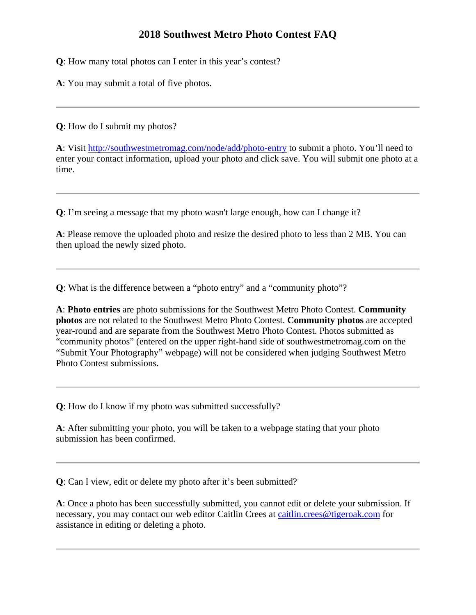## **2018 Southwest Metro Photo Contest FAQ**

**Q**: How many total photos can I enter in this year's contest?

**A**: You may submit a total of five photos.

**Q**: How do I submit my photos?

**A**: Visit <http://southwestmetromag.com/node/add/photo-entry> to submit a photo. You'll need to enter your contact information, upload your photo and click save. You will submit one photo at a time.

**Q**: I'm seeing a message that my photo wasn't large enough, how can I change it?

**A**: Please remove the uploaded photo and resize the desired photo to less than 2 MB. You can then upload the newly sized photo.

**Q**: What is the difference between a "photo entry" and a "community photo"?

**A**: **Photo entries** are photo submissions for the Southwest Metro Photo Contest. **Community photos** are not related to the Southwest Metro Photo Contest. **Community photos** are accepted year-round and are separate from the Southwest Metro Photo Contest. Photos submitted as "community photos" (entered on the upper right-hand side of southwestmetromag.com on the "Submit Your Photography" webpage) will not be considered when judging Southwest Metro Photo Contest submissions.

**Q**: How do I know if my photo was submitted successfully?

**A**: After submitting your photo, you will be taken to a webpage stating that your photo submission has been confirmed.

**Q**: Can I view, edit or delete my photo after it's been submitted?

**A**: Once a photo has been successfully submitted, you cannot edit or delete your submission. If necessary, you may contact our web editor Caitlin Crees at [caitlin.crees@tigeroak.com](mailto:caitlin.crees@tigeroak.com) for assistance in editing or deleting a photo.